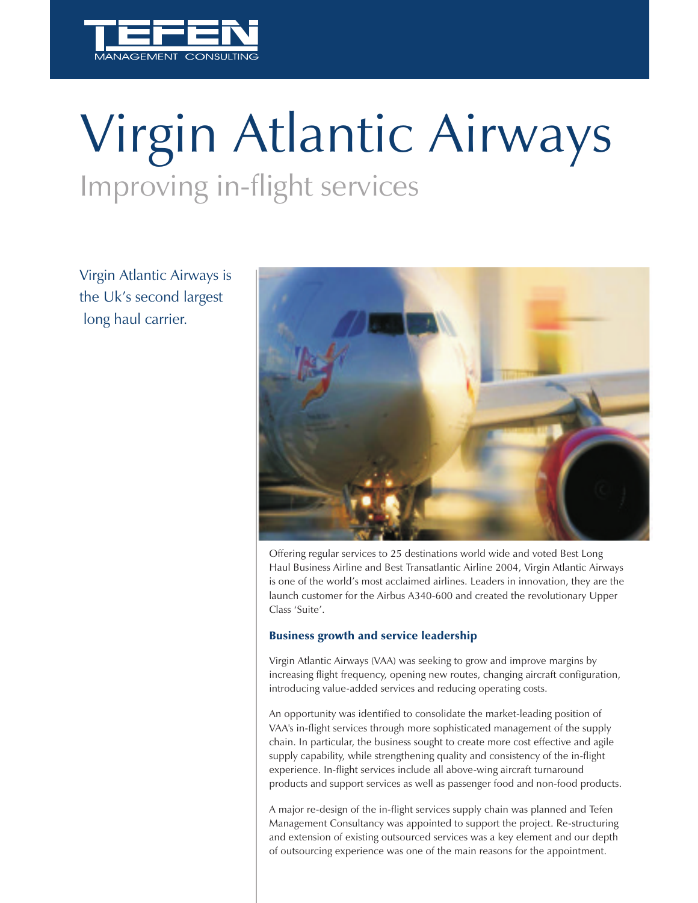

# Improving in-flight services Virgin Atlantic Airways

Virgin Atlantic Airways is the Uk's second largest long haul carrier.



Offering regular services to 25 destinations world wide and voted Best Long Haul Business Airline and Best Transatlantic Airline 2004, Virgin Atlantic Airways is one of the world's most acclaimed airlines. Leaders in innovation, they are the launch customer for the Airbus A340-600 and created the revolutionary Upper Class 'Suite'.

#### Business growth and service leadership

Virgin Atlantic Airways (VAA) was seeking to grow and improve margins by increasing flight frequency, opening new routes, changing aircraft configuration, introducing value-added services and reducing operating costs.

An opportunity was identified to consolidate the market-leading position of VAA's in-flight services through more sophisticated management of the supply chain. In particular, the business sought to create more cost effective and agile supply capability, while strengthening quality and consistency of the in-flight experience. In-flight services include all above-wing aircraft turnaround products and support services as well as passenger food and non-food products.

A major re-design of the in-flight services supply chain was planned and Tefen Management Consultancy was appointed to support the project. Re-structuring and extension of existing outsourced services was a key element and our depth of outsourcing experience was one of the main reasons for the appointment.